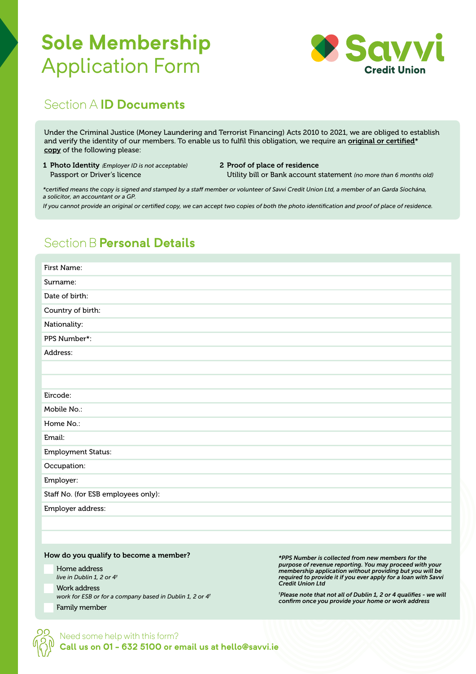# **Sole Membership**  Application Form



# Section A **ID Documents**

Under the Criminal Justice (Money Laundering and Terrorist Financing) Acts 2010 to 2021, we are obliged to establish and verify the identity of our members. To enable us to fulfil this obligation, we require an *original or certified*\* copy of the following please:

1 Photo Identity (*Employer ID is not acceptable)* Passport or Driver's licence

2 Proof of place of residence

Utility bill or Bank account statement *(no more than 6 months old)*

*\*certified means the copy is signed and stamped by a staff member or volunteer of Savvi Credit Union Ltd, a member of an Garda Síochána, a solicitor, an accountant or a GP.*

*If you cannot provide an original or certified copy, we can accept two copies of both the photo identification and proof of place of residence.*

# Section B **Personal Details**

| First Name:                         |
|-------------------------------------|
| Surname:                            |
| Date of birth:                      |
| Country of birth:                   |
| Nationality:                        |
| PPS Number*:                        |
| Address:                            |
|                                     |
|                                     |
| Eircode:                            |
| Mobile No.:                         |
| Home No.:                           |
| Email:                              |
| <b>Employment Status:</b>           |
| Occupation:                         |
| Employer:                           |
| Staff No. (for ESB employees only): |
| Employer address:                   |
|                                     |
|                                     |

### How do you qualify to become a member?

Home address *live in Dublin 1, 2 or 4†* Work address *work for ESB or for a company based in Dublin 1, 2 or 4†* Family member

*\*PPS Number is collected from new members for the purpose of revenue reporting. You may proceed with your membership application without providing but you will be required to provide it if you ever apply for a loan with Savvi Credit Union Ltd* 

*† Please note that not all of Dublin 1, 2 or 4 qualifies - we will confirm once you provide your home or work address*

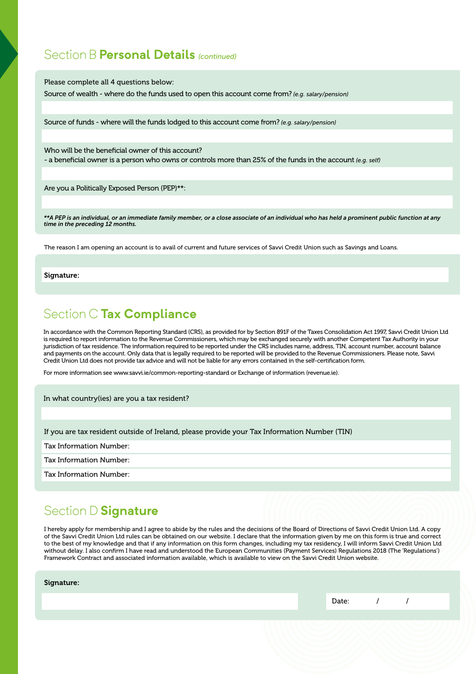### Section B **Personal Details** *(continued)*

Please complete all 4 questions below:

Source of wealth - where do the funds used to open this account come from? *(e.g. salary/pension)*

Source of funds - where will the funds lodged to this account come from? *(e.g. salary/pension)*

Who will be the beneficial owner of this account? - a beneficial owner is a person who owns or controls more than 25% of the funds in the account *(e.g. self)*

Are you a Politically Exposed Person (PEP)\*\*:

*\*\*A PEP is an individual, or an immediate family member, or a close associate of an individual who has held a prominent public function at any time in the preceding 12 months.*

The reason I am opening an account is to avail of current and future services of Savvi Credit Union such as Savings and Loans.

Signature:

## Section C **Tax Compliance**

In accordance with the Common Reporting Standard (CRS), as provided for by Section 891F of the Taxes Consolidation Act 1997, Savvi Credit Union Ltd is required to report information to the Revenue Commissioners, which may be exchanged securely with another Competent Tax Authority in your jurisdiction of tax residence. The information required to be reported under the CRS includes name, address, TIN, account number, account balance and payments on the account. Only data that is legally required to be reported will be provided to the Revenue Commissioners. Please note, Savvi Credit Union Ltd does not provide tax advice and will not be liable for any errors contained in the self-certification form.

For more information see www.savvi.ie/common-reporting-standard or Exchange of information (revenue.ie).

In what country(ies) are you a tax resident?

If you are tax resident outside of Ireland, please provide your Tax Information Number (TIN)

Tax Information Number:

Tax Information Number:

Tax Information Number:

# Section D **Signature**

I hereby apply for membership and I agree to abide by the rules and the decisions of the Board of Directions of Savvi Credit Union Ltd. A copy of the Savvi Credit Union Ltd rules can be obtained on our website. I declare that the information given by me on this form is true and correct to the best of my knowledge and that if any information on this form changes, including my tax residency, I will inform Savvi Credit Union Ltd without delay. I also confirm I have read and understood the European Communities (Payment Services) Regulations 2018 (The 'Regulations') Framework Contract and associated information available, which is available to view on the Savvi Credit Union website.

Signature:

|  | $\sim$<br>Date: |  |
|--|-----------------|--|
|  |                 |  |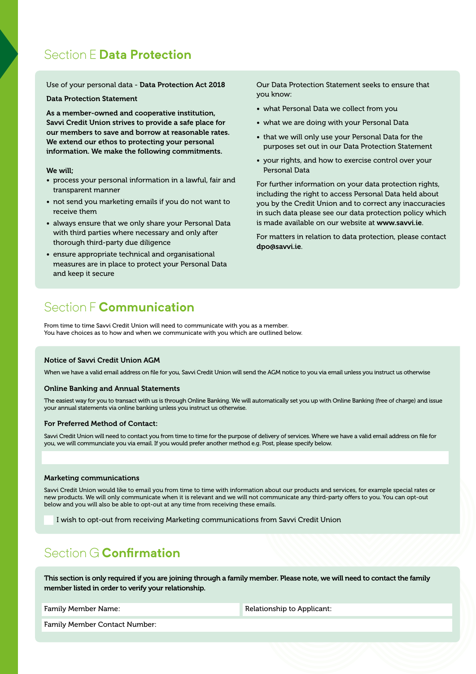# Section E **Data Protection**

Use of your personal data - Data Protection Act 2018

Data Protection Statement

As a member-owned and cooperative institution, Savvi Credit Union strives to provide a safe place for our members to save and borrow at reasonable rates. We extend our ethos to protecting your personal information. We make the following commitments.

### We will;

- process your personal information in a lawful, fair and transparent manner
- not send you marketing emails if you do not want to receive them
- always ensure that we only share your Personal Data with third parties where necessary and only after thorough third-party due diligence
- ensure appropriate technical and organisational measures are in place to protect your Personal Data and keep it secure

# Section F **Communication**

From time to time Savvi Credit Union will need to communicate with you as a member. You have choices as to how and when we communicate with you which are outlined below.

### Notice of Savvi Credit Union AGM

When we have a valid email address on file for you, Savvi Credit Union will send the AGM notice to you via email unless you instruct us otherwise

### Online Banking and Annual Statements

The easiest way for you to transact with us is through Online Banking. We will automatically set you up with Online Banking (free of charge) and issue your annual statements via online banking unless you instruct us otherwise.

#### For Preferred Method of Contact:

Savvi Credit Union will need to contact you from time to time for the purpose of delivery of services. Where we have a valid email address on file for you, we will communciate you via email. If you would prefer another method e.g. Post, please specify below.

#### Marketing communications

Savvi Credit Union would like to email you from time to time with information about our products and services, for example special rates or new products. We will only communicate when it is relevant and we will not communicate any third-party offers to you. You can opt-out below and you will also be able to opt-out at any time from receiving these emails.

I wish to opt-out from receiving Marketing communications from Savvi Credit Union

### Section G **Confirmation**

This section is only required if you are joining through a family member. Please note, we will need to contact the family member listed in order to verify your relationship.

Family Member Name: The Contract of the Relationship to Applicant:

Family Member Contact Number:

Our Data Protection Statement seeks to ensure that you know:

- what Personal Data we collect from you
- what we are doing with your Personal Data
- that we will only use your Personal Data for the purposes set out in our Data Protection Statement
- your rights, and how to exercise control over your Personal Data

For further information on your data protection rights, including the right to access Personal Data held about you by the Credit Union and to correct any inaccuracies in such data please see our data protection policy which is made available on our website at www.savvi.ie.

For matters in relation to data protection, please contact dpo@savvi.ie.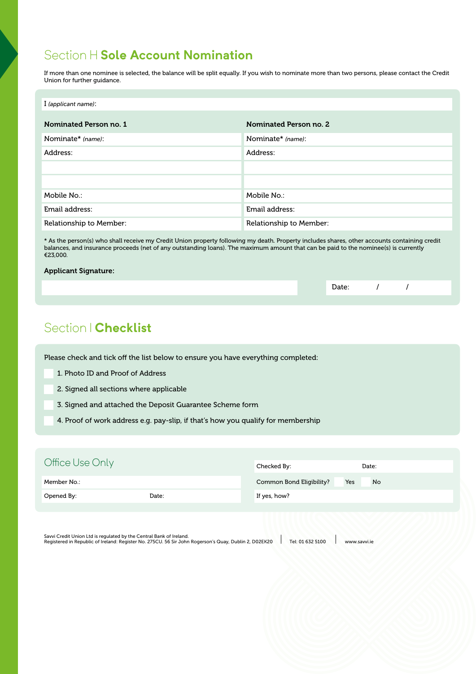# Section H **Sole Account Nomination**

If more than one nominee is selected, the balance will be split equally. If you wish to nominate more than two persons, please contact the Credit Union for further guidance.

| I (applicant name):     |                         |
|-------------------------|-------------------------|
|                         |                         |
| Nominated Person no. 1  | Nominated Person no. 2  |
| Nominate* (name):       | Nominate* (name):       |
| Address:                | Address:                |
|                         |                         |
|                         |                         |
| Mobile No.:             | Mobile No.:             |
| Email address:          | Email address:          |
| Relationship to Member: | Relationship to Member: |

\* As the person(s) who shall receive my Credit Union property following my death. Property includes shares, other accounts containing credit balances, and insurance proceeds (net of any outstanding loans). The maximum amount that can be paid to the nominee(s) is currently €23,000.

### Applicant Signature:

# Section I **Checklist**

Please check and tick off the list below to ensure you have everything completed:

- 1. Photo ID and Proof of Address
- 2. Signed all sections where applicable
- 3. Signed and attached the Deposit Guarantee Scheme form
- 4. Proof of work address e.g. pay-slip, if that's how you qualify for membership

| Office Use Only |       | Checked By:              | Date:     |
|-----------------|-------|--------------------------|-----------|
| Member No.:     |       | Common Bond Eligibility? | Yes<br>No |
| Opened By:      | Date: | If yes, how?             |           |
|                 |       |                          |           |

Savvi Credit Union Ltd is regulated by the Central Bank of Ireland.<br>Registered in Republic of Ireland: Register No. 275CU. 56 Sir John Rogerson's Quay, Dublin 2, D02EK20 Pel: 01 632 5100 www.savvi.ie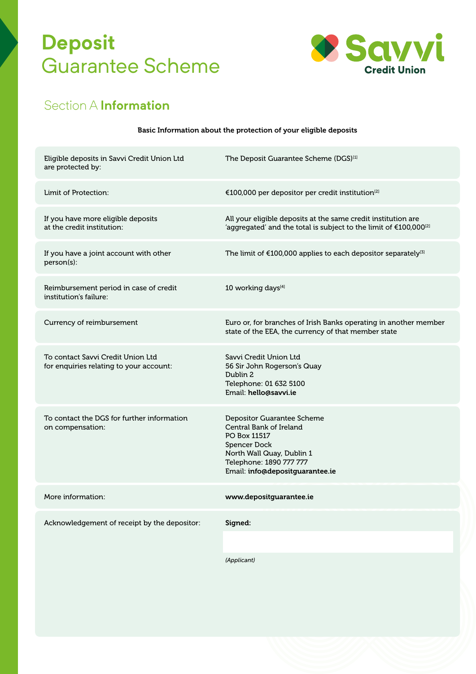# **Deposit**  Guarantee Scheme



# Section A **Information**

|  | Basic Information about the protection of your eligible deposits |
|--|------------------------------------------------------------------|
|  |                                                                  |

| Eligible deposits in Savvi Credit Union Ltd<br>are protected by:             | The Deposit Guarantee Scheme (DGS) <sup>[1]</sup>                                                                                                                                |
|------------------------------------------------------------------------------|----------------------------------------------------------------------------------------------------------------------------------------------------------------------------------|
| Limit of Protection:                                                         | €100,000 per depositor per credit institution <sup>[2]</sup>                                                                                                                     |
| If you have more eligible deposits<br>at the credit institution:             | All your eligible deposits at the same credit institution are<br>'aggregated' and the total is subject to the limit of €100,000 <sup>[2]</sup>                                   |
| If you have a joint account with other<br>person(s):                         | The limit of €100,000 applies to each depositor separately <sup>[3]</sup>                                                                                                        |
| Reimbursement period in case of credit<br>institution's failure:             | 10 working days <sup>[4]</sup>                                                                                                                                                   |
| Currency of reimbursement                                                    | Euro or, for branches of Irish Banks operating in another member<br>state of the EEA, the currency of that member state                                                          |
| To contact Savvi Credit Union Ltd<br>for enquiries relating to your account: | Savvi Credit Union Ltd<br>56 Sir John Rogerson's Quay<br>Dublin 2<br>Telephone: 01 632 5100<br>Email: hello@savvi.ie                                                             |
| To contact the DGS for further information<br>on compensation:               | Depositor Guarantee Scheme<br>Central Bank of Ireland<br>PO Box 11517<br>Spencer Dock<br>North Wall Quay, Dublin 1<br>Telephone: 1890 777 777<br>Email: info@depositguarantee.ie |
| More information:                                                            | www.depositguarantee.ie                                                                                                                                                          |
| Acknowledgement of receipt by the depositor:                                 | Signed:                                                                                                                                                                          |
|                                                                              |                                                                                                                                                                                  |

*(Applicant)*